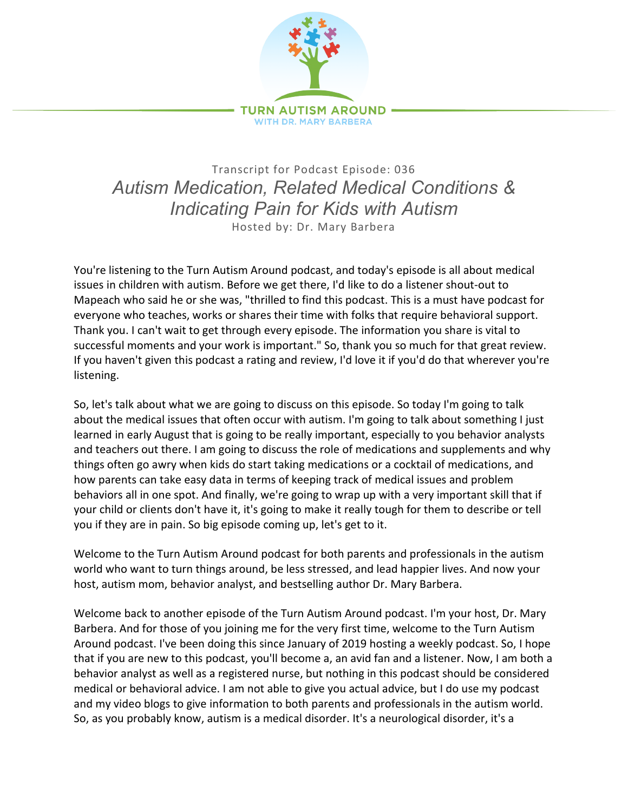

Transcript for Podcast Episode: 036 *Autism Medication, Related Medical Conditions & Indicating Pain for Kids with Autism* Hosted by: Dr. Mary Barbera

You're listening to the Turn Autism Around podcast, and today's episode is all about medical issues in children with autism. Before we get there, I'd like to do a listener shout-out to Mapeach who said he or she was, "thrilled to find this podcast. This is a must have podcast for everyone who teaches, works or shares their time with folks that require behavioral support. Thank you. I can't wait to get through every episode. The information you share is vital to successful moments and your work is important." So, thank you so much for that great review. If you haven't given this podcast a rating and review, I'd love it if you'd do that wherever you're listening.

So, let's talk about what we are going to discuss on this episode. So today I'm going to talk about the medical issues that often occur with autism. I'm going to talk about something I just learned in early August that is going to be really important, especially to you behavior analysts and teachers out there. I am going to discuss the role of medications and supplements and why things often go awry when kids do start taking medications or a cocktail of medications, and how parents can take easy data in terms of keeping track of medical issues and problem behaviors all in one spot. And finally, we're going to wrap up with a very important skill that if your child or clients don't have it, it's going to make it really tough for them to describe or tell you if they are in pain. So big episode coming up, let's get to it.

Welcome to the Turn Autism Around podcast for both parents and professionals in the autism world who want to turn things around, be less stressed, and lead happier lives. And now your host, autism mom, behavior analyst, and bestselling author Dr. Mary Barbera.

Welcome back to another episode of the Turn Autism Around podcast. I'm your host, Dr. Mary Barbera. And for those of you joining me for the very first time, welcome to the Turn Autism Around podcast. I've been doing this since January of 2019 hosting a weekly podcast. So, I hope that if you are new to this podcast, you'll become a, an avid fan and a listener. Now, I am both a behavior analyst as well as a registered nurse, but nothing in this podcast should be considered medical or behavioral advice. I am not able to give you actual advice, but I do use my podcast and my video blogs to give information to both parents and professionals in the autism world. So, as you probably know, autism is a medical disorder. It's a neurological disorder, it's a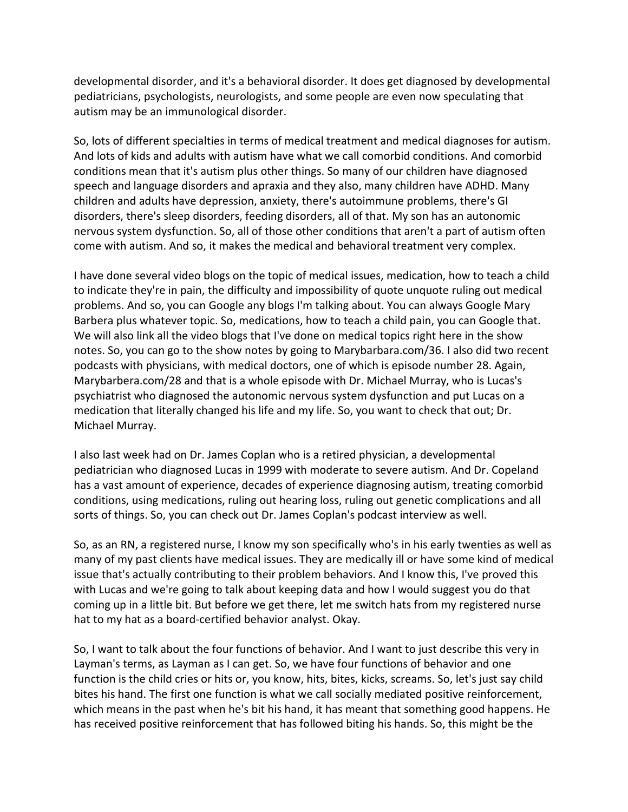developmental disorder, and it's a behavioral disorder. It does get diagnosed by developmental pediatricians, psychologists, neurologists, and some people are even now speculating that autism may be an immunological disorder.

So, lots of different specialties in terms of medical treatment and medical diagnoses for autism. And lots of kids and adults with autism have what we call comorbid conditions. And comorbid conditions mean that it's autism plus other things. So many of our children have diagnosed speech and language disorders and apraxia and they also, many children have ADHD. Many children and adults have depression, anxiety, there's autoimmune problems, there's GI disorders, there's sleep disorders, feeding disorders, all of that. My son has an autonomic nervous system dysfunction. So, all of those other conditions that aren't a part of autism often come with autism. And so, it makes the medical and behavioral treatment very complex.

I have done several video blogs on the topic of medical issues, medication, how to teach a child to indicate they're in pain, the difficulty and impossibility of quote unquote ruling out medical problems. And so, you can Google any blogs I'm talking about. You can always Google Mary Barbera plus whatever topic. So, medications, how to teach a child pain, you can Google that. We will also link all the video blogs that I've done on medical topics right here in the show notes. So, you can go to the show notes by going to Marybarbara.com/36. I also did two recent podcasts with physicians, with medical doctors, one of which is episode number 28. Again, Marybarbera.com/28 and that is a whole episode with Dr. Michael Murray, who is Lucas's psychiatrist who diagnosed the autonomic nervous system dysfunction and put Lucas on a medication that literally changed his life and my life. So, you want to check that out; Dr. Michael Murray.

I also last week had on Dr. James Coplan who is a retired physician, a developmental pediatrician who diagnosed Lucas in 1999 with moderate to severe autism. And Dr. Copeland has a vast amount of experience, decades of experience diagnosing autism, treating comorbid conditions, using medications, ruling out hearing loss, ruling out genetic complications and all sorts of things. So, you can check out Dr. James Coplan's podcast interview as well.

So, as an RN, a registered nurse, I know my son specifically who's in his early twenties as well as many of my past clients have medical issues. They are medically ill or have some kind of medical issue that's actually contributing to their problem behaviors. And I know this, I've proved this with Lucas and we're going to talk about keeping data and how I would suggest you do that coming up in a little bit. But before we get there, let me switch hats from my registered nurse hat to my hat as a board-certified behavior analyst. Okay.

So, I want to talk about the four functions of behavior. And I want to just describe this very in Layman's terms, as Layman as I can get. So, we have four functions of behavior and one function is the child cries or hits or, you know, hits, bites, kicks, screams. So, let's just say child bites his hand. The first one function is what we call socially mediated positive reinforcement, which means in the past when he's bit his hand, it has meant that something good happens. He has received positive reinforcement that has followed biting his hands. So, this might be the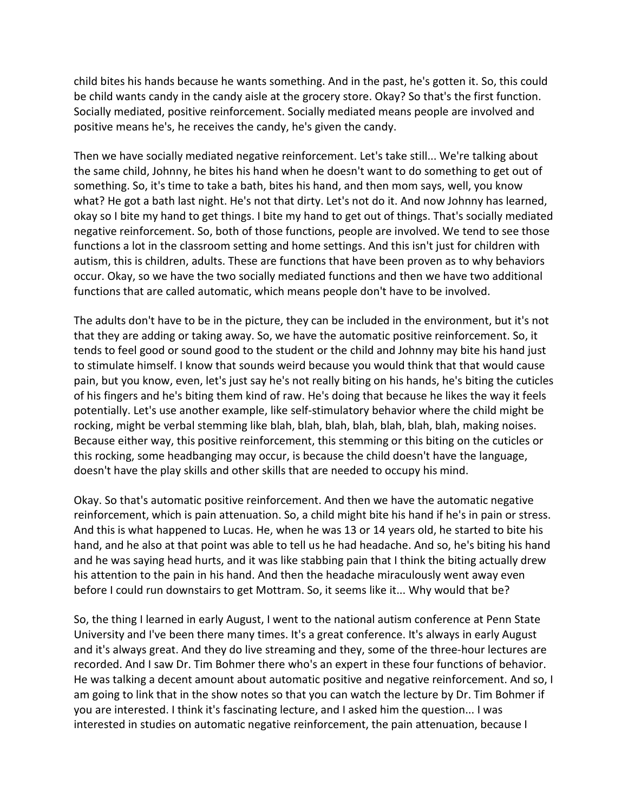child bites his hands because he wants something. And in the past, he's gotten it. So, this could be child wants candy in the candy aisle at the grocery store. Okay? So that's the first function. Socially mediated, positive reinforcement. Socially mediated means people are involved and positive means he's, he receives the candy, he's given the candy.

Then we have socially mediated negative reinforcement. Let's take still... We're talking about the same child, Johnny, he bites his hand when he doesn't want to do something to get out of something. So, it's time to take a bath, bites his hand, and then mom says, well, you know what? He got a bath last night. He's not that dirty. Let's not do it. And now Johnny has learned, okay so I bite my hand to get things. I bite my hand to get out of things. That's socially mediated negative reinforcement. So, both of those functions, people are involved. We tend to see those functions a lot in the classroom setting and home settings. And this isn't just for children with autism, this is children, adults. These are functions that have been proven as to why behaviors occur. Okay, so we have the two socially mediated functions and then we have two additional functions that are called automatic, which means people don't have to be involved.

The adults don't have to be in the picture, they can be included in the environment, but it's not that they are adding or taking away. So, we have the automatic positive reinforcement. So, it tends to feel good or sound good to the student or the child and Johnny may bite his hand just to stimulate himself. I know that sounds weird because you would think that that would cause pain, but you know, even, let's just say he's not really biting on his hands, he's biting the cuticles of his fingers and he's biting them kind of raw. He's doing that because he likes the way it feels potentially. Let's use another example, like self-stimulatory behavior where the child might be rocking, might be verbal stemming like blah, blah, blah, blah, blah, blah, blah, making noises. Because either way, this positive reinforcement, this stemming or this biting on the cuticles or this rocking, some headbanging may occur, is because the child doesn't have the language, doesn't have the play skills and other skills that are needed to occupy his mind.

Okay. So that's automatic positive reinforcement. And then we have the automatic negative reinforcement, which is pain attenuation. So, a child might bite his hand if he's in pain or stress. And this is what happened to Lucas. He, when he was 13 or 14 years old, he started to bite his hand, and he also at that point was able to tell us he had headache. And so, he's biting his hand and he was saying head hurts, and it was like stabbing pain that I think the biting actually drew his attention to the pain in his hand. And then the headache miraculously went away even before I could run downstairs to get Mottram. So, it seems like it... Why would that be?

So, the thing I learned in early August, I went to the national autism conference at Penn State University and I've been there many times. It's a great conference. It's always in early August and it's always great. And they do live streaming and they, some of the three-hour lectures are recorded. And I saw Dr. Tim Bohmer there who's an expert in these four functions of behavior. He was talking a decent amount about automatic positive and negative reinforcement. And so, I am going to link that in the show notes so that you can watch the lecture by Dr. Tim Bohmer if you are interested. I think it's fascinating lecture, and I asked him the question... I was interested in studies on automatic negative reinforcement, the pain attenuation, because I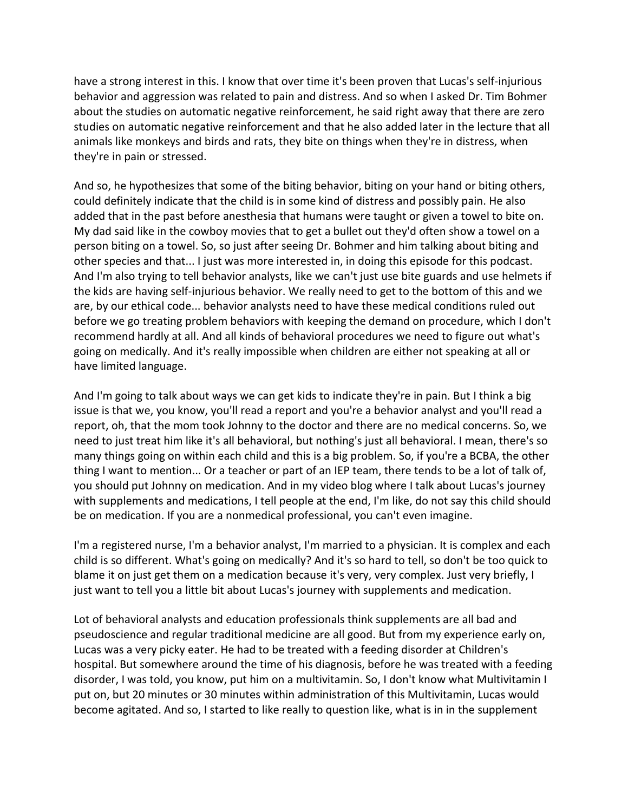have a strong interest in this. I know that over time it's been proven that Lucas's self-injurious behavior and aggression was related to pain and distress. And so when I asked Dr. Tim Bohmer about the studies on automatic negative reinforcement, he said right away that there are zero studies on automatic negative reinforcement and that he also added later in the lecture that all animals like monkeys and birds and rats, they bite on things when they're in distress, when they're in pain or stressed.

And so, he hypothesizes that some of the biting behavior, biting on your hand or biting others, could definitely indicate that the child is in some kind of distress and possibly pain. He also added that in the past before anesthesia that humans were taught or given a towel to bite on. My dad said like in the cowboy movies that to get a bullet out they'd often show a towel on a person biting on a towel. So, so just after seeing Dr. Bohmer and him talking about biting and other species and that... I just was more interested in, in doing this episode for this podcast. And I'm also trying to tell behavior analysts, like we can't just use bite guards and use helmets if the kids are having self-injurious behavior. We really need to get to the bottom of this and we are, by our ethical code... behavior analysts need to have these medical conditions ruled out before we go treating problem behaviors with keeping the demand on procedure, which I don't recommend hardly at all. And all kinds of behavioral procedures we need to figure out what's going on medically. And it's really impossible when children are either not speaking at all or have limited language.

And I'm going to talk about ways we can get kids to indicate they're in pain. But I think a big issue is that we, you know, you'll read a report and you're a behavior analyst and you'll read a report, oh, that the mom took Johnny to the doctor and there are no medical concerns. So, we need to just treat him like it's all behavioral, but nothing's just all behavioral. I mean, there's so many things going on within each child and this is a big problem. So, if you're a BCBA, the other thing I want to mention... Or a teacher or part of an IEP team, there tends to be a lot of talk of, you should put Johnny on medication. And in my video blog where I talk about Lucas's journey with supplements and medications, I tell people at the end, I'm like, do not say this child should be on medication. If you are a nonmedical professional, you can't even imagine.

I'm a registered nurse, I'm a behavior analyst, I'm married to a physician. It is complex and each child is so different. What's going on medically? And it's so hard to tell, so don't be too quick to blame it on just get them on a medication because it's very, very complex. Just very briefly, I just want to tell you a little bit about Lucas's journey with supplements and medication.

Lot of behavioral analysts and education professionals think supplements are all bad and pseudoscience and regular traditional medicine are all good. But from my experience early on, Lucas was a very picky eater. He had to be treated with a feeding disorder at Children's hospital. But somewhere around the time of his diagnosis, before he was treated with a feeding disorder, I was told, you know, put him on a multivitamin. So, I don't know what Multivitamin I put on, but 20 minutes or 30 minutes within administration of this Multivitamin, Lucas would become agitated. And so, I started to like really to question like, what is in in the supplement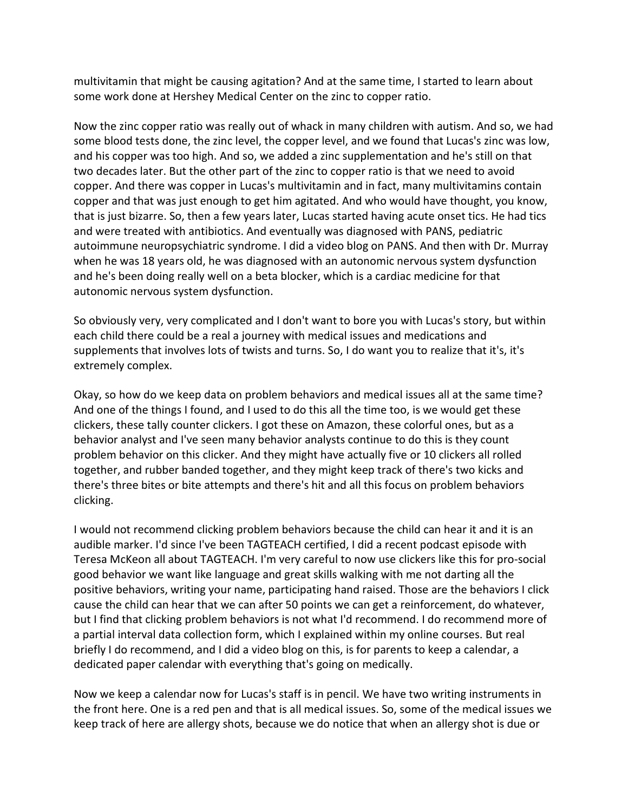multivitamin that might be causing agitation? And at the same time, I started to learn about some work done at Hershey Medical Center on the zinc to copper ratio.

Now the zinc copper ratio was really out of whack in many children with autism. And so, we had some blood tests done, the zinc level, the copper level, and we found that Lucas's zinc was low, and his copper was too high. And so, we added a zinc supplementation and he's still on that two decades later. But the other part of the zinc to copper ratio is that we need to avoid copper. And there was copper in Lucas's multivitamin and in fact, many multivitamins contain copper and that was just enough to get him agitated. And who would have thought, you know, that is just bizarre. So, then a few years later, Lucas started having acute onset tics. He had tics and were treated with antibiotics. And eventually was diagnosed with PANS, pediatric autoimmune neuropsychiatric syndrome. I did a video blog on PANS. And then with Dr. Murray when he was 18 years old, he was diagnosed with an autonomic nervous system dysfunction and he's been doing really well on a beta blocker, which is a cardiac medicine for that autonomic nervous system dysfunction.

So obviously very, very complicated and I don't want to bore you with Lucas's story, but within each child there could be a real a journey with medical issues and medications and supplements that involves lots of twists and turns. So, I do want you to realize that it's, it's extremely complex.

Okay, so how do we keep data on problem behaviors and medical issues all at the same time? And one of the things I found, and I used to do this all the time too, is we would get these clickers, these tally counter clickers. I got these on Amazon, these colorful ones, but as a behavior analyst and I've seen many behavior analysts continue to do this is they count problem behavior on this clicker. And they might have actually five or 10 clickers all rolled together, and rubber banded together, and they might keep track of there's two kicks and there's three bites or bite attempts and there's hit and all this focus on problem behaviors clicking.

I would not recommend clicking problem behaviors because the child can hear it and it is an audible marker. I'd since I've been TAGTEACH certified, I did a recent podcast episode with Teresa McKeon all about TAGTEACH. I'm very careful to now use clickers like this for pro-social good behavior we want like language and great skills walking with me not darting all the positive behaviors, writing your name, participating hand raised. Those are the behaviors I click cause the child can hear that we can after 50 points we can get a reinforcement, do whatever, but I find that clicking problem behaviors is not what I'd recommend. I do recommend more of a partial interval data collection form, which I explained within my online courses. But real briefly I do recommend, and I did a video blog on this, is for parents to keep a calendar, a dedicated paper calendar with everything that's going on medically.

Now we keep a calendar now for Lucas's staff is in pencil. We have two writing instruments in the front here. One is a red pen and that is all medical issues. So, some of the medical issues we keep track of here are allergy shots, because we do notice that when an allergy shot is due or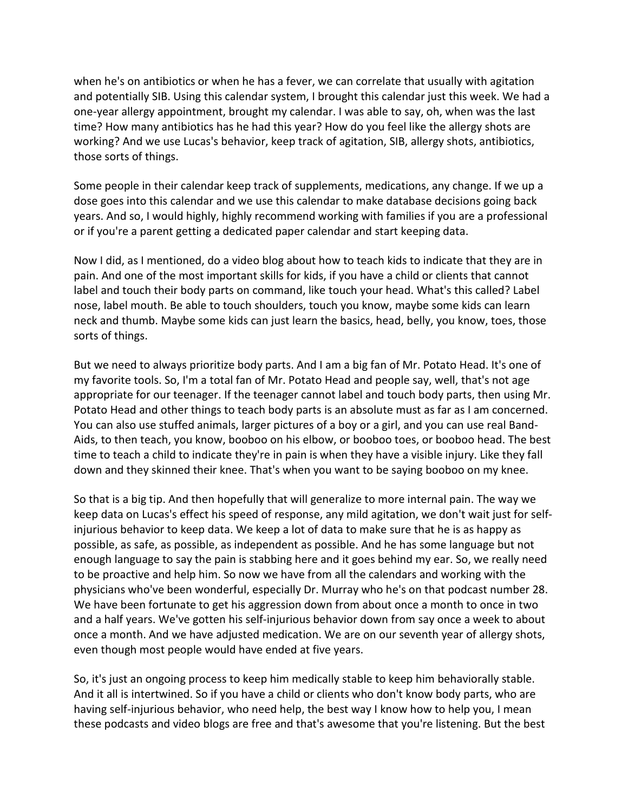when he's on antibiotics or when he has a fever, we can correlate that usually with agitation and potentially SIB. Using this calendar system, I brought this calendar just this week. We had a one-year allergy appointment, brought my calendar. I was able to say, oh, when was the last time? How many antibiotics has he had this year? How do you feel like the allergy shots are working? And we use Lucas's behavior, keep track of agitation, SIB, allergy shots, antibiotics, those sorts of things.

Some people in their calendar keep track of supplements, medications, any change. If we up a dose goes into this calendar and we use this calendar to make database decisions going back years. And so, I would highly, highly recommend working with families if you are a professional or if you're a parent getting a dedicated paper calendar and start keeping data.

Now I did, as I mentioned, do a video blog about how to teach kids to indicate that they are in pain. And one of the most important skills for kids, if you have a child or clients that cannot label and touch their body parts on command, like touch your head. What's this called? Label nose, label mouth. Be able to touch shoulders, touch you know, maybe some kids can learn neck and thumb. Maybe some kids can just learn the basics, head, belly, you know, toes, those sorts of things.

But we need to always prioritize body parts. And I am a big fan of Mr. Potato Head. It's one of my favorite tools. So, I'm a total fan of Mr. Potato Head and people say, well, that's not age appropriate for our teenager. If the teenager cannot label and touch body parts, then using Mr. Potato Head and other things to teach body parts is an absolute must as far as I am concerned. You can also use stuffed animals, larger pictures of a boy or a girl, and you can use real Band-Aids, to then teach, you know, booboo on his elbow, or booboo toes, or booboo head. The best time to teach a child to indicate they're in pain is when they have a visible injury. Like they fall down and they skinned their knee. That's when you want to be saying booboo on my knee.

So that is a big tip. And then hopefully that will generalize to more internal pain. The way we keep data on Lucas's effect his speed of response, any mild agitation, we don't wait just for selfinjurious behavior to keep data. We keep a lot of data to make sure that he is as happy as possible, as safe, as possible, as independent as possible. And he has some language but not enough language to say the pain is stabbing here and it goes behind my ear. So, we really need to be proactive and help him. So now we have from all the calendars and working with the physicians who've been wonderful, especially Dr. Murray who he's on that podcast number 28. We have been fortunate to get his aggression down from about once a month to once in two and a half years. We've gotten his self-injurious behavior down from say once a week to about once a month. And we have adjusted medication. We are on our seventh year of allergy shots, even though most people would have ended at five years.

So, it's just an ongoing process to keep him medically stable to keep him behaviorally stable. And it all is intertwined. So if you have a child or clients who don't know body parts, who are having self-injurious behavior, who need help, the best way I know how to help you, I mean these podcasts and video blogs are free and that's awesome that you're listening. But the best